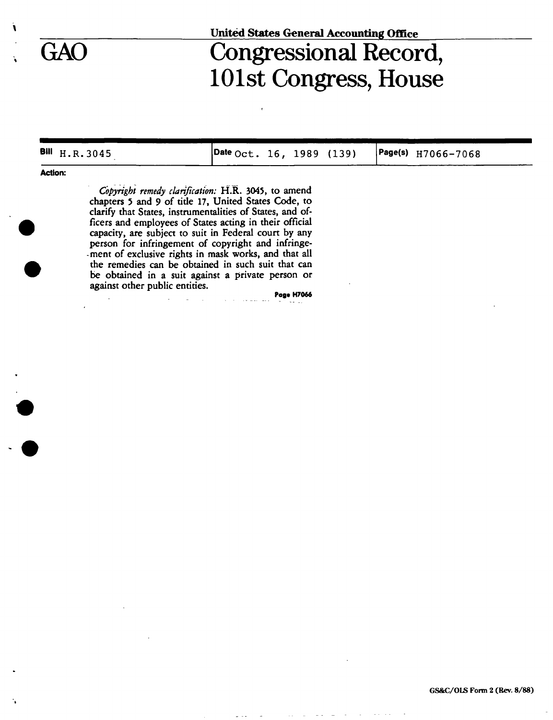## **United States General Accounting Office**

# GAO Congressional Record, 101st Congress, House

| BIII H.R.3045                                                                                               | $\sqrt{2}$ Date Oct. 16, 1989 (139) |  |  | $ Page(s)$ $H7066 - 7068$ |
|-------------------------------------------------------------------------------------------------------------|-------------------------------------|--|--|---------------------------|
| <b>Action:</b>                                                                                              |                                     |  |  |                           |
| Copyright remedy clarification: H.R. 3045, to amend<br>chapters 5 and 9 of title 17, United States Code, to |                                     |  |  |                           |
| clarify that States, instrumentalities of States, and of-                                                   |                                     |  |  |                           |

clarify that States, instrumentalities of States, and officers and employees of States acting in their official capacity, are subject to suit in Federal court by any person for infringement of copyright and infringement of exclusive rights in mask works, and that all the remedies can be obtained in such suit that can be obtained in a suit against a private person or against other public entities.

**Page H7066**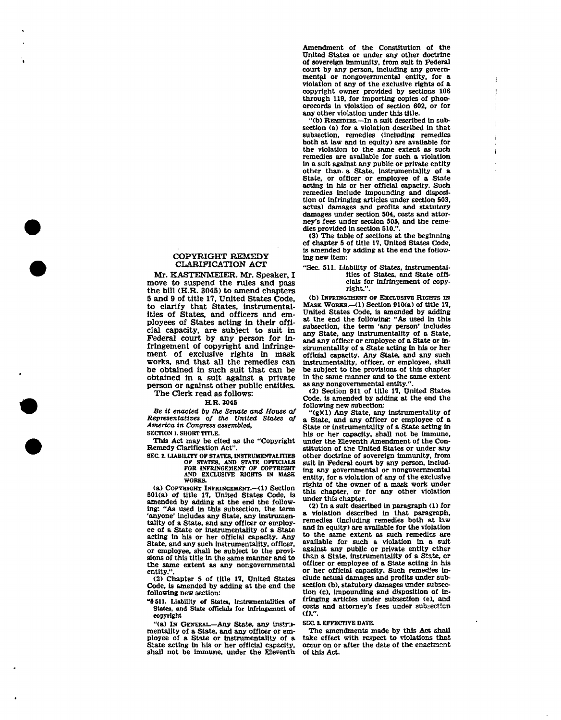### COPYRIGHT REMEDY CLARIFICATION ACT

Mr. KASTENMEIER. Mr. Speaker, I move to suspend the rules and pass the bill  $(H.R. 3045)$  to amend chapters 5 and 9 of title 17, United States Code, to clarify that States, instrumentalities of States, and officers and employees of States acting in their official capacity, are subject to suit in Federal court by any person for infringement of copyright and infringement of exclusive rights in mask works, and that all the remedies can be obtained in such suit that can be obtained in a suit against a private person or against other public entities. The Clerk read as follows:

#### H.R. 3045

*Be it enacted by the Senate and House of Representatives of the United States of America in Congress assembled,*  **SECTION 1. SHORT TITLE.** 

This Act may be cited as the "Copyright

Remedy Clarification Act". **SEC 1 LIABILITY OF STATES, INSTRUMENTALITIES** 

**OF STATES, AND STATE OFFICIALS FOR INFRINGEMENT OF COPYRIGHT AND EXCLUSIVE RIGHTS IN MASK WORKS.** 

(a) COPYRIGHT INFRINGEMENT.—<1) Section 501(a) of title 17, United States Code, is amended by adding at the end the following: "As used in this subsection, the term 'anyone' includes any State, any instrumentality of a State, and any officer or employee of a State or instrumentality of a State acting in his or her official capacity. Any State, and any such Instrumentality, officer, or employee, shall be subject to the provisions of this title in the same manner and to the same extent as any nongovernmental entity.

(2) Chapter 5 of title 17. United States Code, is amended by adding at the end the following new section:

"§511. Liability of States, instrumentalities of States, and State officials for infringemnet of copyright

"(a) IN GENERAL.—Any State, any instrumentality of a State, and any officer or employee of a State or instrumentality of a State acting in his or her official capacity, shall not be immune, under the Eleventh

Amendment of the Constitution of the United States or under any other doctrine of sovereign Immunity, from suit In Federal court by any person, including any governmental or nongovernmental entity, for a violation of any of the exclusive rights of a copyright owner provided by sections 106 through 119, for importing copies of phonorecords in violation of section 602, or for any other violation under this title.

"(b) REMEDIES.—In a suit described in subsection (a) for a violation described in that subsection, remedies (including remedies both at law and In equity) are available for the violation to the same extent as such remedies are available for such a violation in a suit against any public or private entity other than, a State, Instrumentality of a State, or officer or employee of a State acting in his or her official capacity. Such remedies include Impounding and disposition of infringing articles under section 503, actual damages and profits and statutory damages under section 504, costs and attorney's fees under section 505, and the remedies provided in section 510.".

(3) The table of sections at the beginning of chapter 5 of title 17, United States Code, is amended by adding at the end the following new item:

|  | "Sec. 511. Liability of States, instrumental- |
|--|-----------------------------------------------|
|  | ities of States, and State offi-              |
|  | cials for infringement of copy-               |
|  | right.".                                      |

(b) INFRINGEMENT OF EXCLUSIVE RIGHTS IN MASK WORKS.—(1) Section 910(a) of title 17, United States Code, is amended by adding at the end the following: "As used in this subsection, the term 'any person' Includes any State, any instrumentality of a State, and any officer or employee of a State or instrumentality of a State acting in his or her official capacity. Any State, and any such instrumentality, officer, or employee, shall be subject to the provisions of this chapter In the same manner and to the same extent as any nongovernmental entity.".

(2) Section 911 of title 17, United States Code, is amended by adding at the end the following new subection:

"(g)(1) Any State, any instrumentality of a State, and any officer or employee of a State or instrumentality of a State acting in his or her capacity, shall not be immune, under the Eleventh Amendment of the Constitution of the United States or under any other doctrine of sovereign immunity, from suit in Federal court by any person, including any governmental or nongovernmental entity, for a violation of any of the exclusive rights of the owner of a mask work under this chapter, or for any other violation under this chapter.

(2) In a suit described in paragraph (1) for a violation described in that paragraph, remedies (including remedies both at law and in equity) are available for the violation to the same extent as such remedies are available for such a violation in a suit against any public or private entity ether than a State, instrumentality of a State, cr officer or employee of a State acting in his or her official capacity. Such remedies include actual damages and profits under subsection (b), statutory damages under subsection (c), impounding and disposition of infringing articles under subsection (e), and costs and attorney's fees under subsection (f).".

#### **SIX. S. EFFECTIVE DATE.**

The amendments made by this Act shall take effect with respect to violations that occur on or after the date of the enactment of this Act.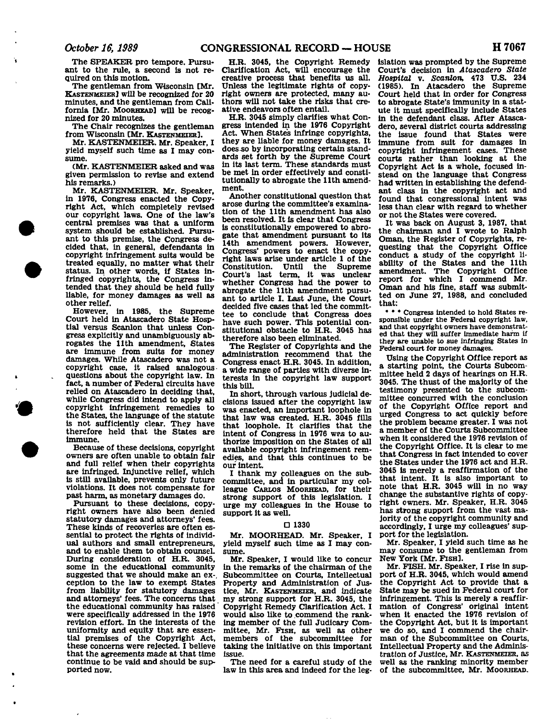The SPEAKER pro tempore. Pursuant to the rule, a second is not required on this motion.

The gentleman from Wisconsin [Mr. KASTENMEIER] will be recognized for 20 minutes, and the gentleman from California [Mr. MOORHEAD] will be recognized for 20 minutes.

The Chair recognizes the gentleman from Wisconsin [Mr. KASTENMEIER].

Mr. KASTENMEIER. Mr. Speaker, I yield myself such time as I may consume.

(Mr. KASTENMEIER asked and was given permission to revise and extend his remarks.)

Mr. KASTENMEIER. Mr. Speaker, in 1976, Congress enacted the Copyright Act, which completely revised our copyright laws. One of the law's central premises was that a uniform system should be established. Pursuant to this premise, the Congress decided that, in general, defendants in copyright infringement suits would be treated equally, no matter what their status. In other words, if States infringed copyrights, the Congress intended that they should be held fully liable, for money damages as well as other relief.

However, in 1985, the Supreme Court held in Atascadero State Hosptial versus Scanlon that unless Congress explicitly and unambiguously abrogates the 11th amendment, States are immune from suits for money damages. While Atascadero was not a copyright case, it raised analogousquestions about the copyright law. In fact, a number of Federal circuits have relied on Atascadero in deciding that, while Congress did intend to apply ail copyright infringement remedies to the States, the language of the statute is not sufficiently clear. They have therefore held that the States are immune.

Because of these decisions, copyright owners are often unable to obtain fair and full relief when their copyrights are infringed. Injunctive relief, which is still available, prevents only future violations. It does not compensate for past harm, as monetary damages do.

Pursuant to these decisions, copyright owners have also been denied statutory damages and attorneys' fees. These kinds of recoveries are often essential to protect the rights of individual authors and small entrepreneurs, and to enable them to obtain counsel. During consideration of H.R. 3045, some in the educational community suggested that we should make an exception to the law to exempt States from liability for statutory damages and attorneys' fees. The concerns that the educational community has raised were specifically addressed in the 1976 revision effort. In the interests of the uniformity and equity that are essential premises of the Copyright Act, these concerns were rejected. I believe that the agreements made at that time continue to be vaid and should be supported now.

H.R. 3045, the Copyright Remedy Clarification Act, will encourage the creative process that benefits us all. Unless the legitimate rights of copyright owners are protected, many authors will not take the risks that creative endeavors often entail.

H.R. 3045 simply clarifies what Congress intended in the 1976 Copyright Act. When States infringe copyrights, they are liable for money damages. It does so by incorporating certain standards set forth by the Supreme Court in its last term. These standards must be met in order effectively and constitutionally to abrogate the 11th amendment.

Another constitutional question that arose during the committee's examination of the 11th amendment has also been resolved. It is clear that Congress is constitutionally empowered to abrogate that amendment pursuant to its 14th amendment powers. However, Congress' powers to enact the copyright laws arise under article 1 of the Constitution. Until the Supreme Court's last term, it was unclear whether Congress had the power to abrogate the 11th amendment pursuant to article I. Last June, the Court decided five cases that led the committee to conclude that Congress does have such power. This potential constitutional obstacle to H.R. 3045 has therefore also been eliminated.

The Register of Copyrights and the administration recommend that the Congress enact H.R. 3045. In addition, a wide range of parties with diverse interests in the copyright law support this bill.

In short, through various judicial decisions issued after the copyright law was enacted, an important loophole in that law was created. H.R. 3045 fills that loophole. It clarifies that the intent of Congress in 1976 was to authorize imposition on the States of all available copyright infringement remedies, and that this continues to be our intent.

I thank my colleagues on the subcommittee, and in particular my colleague CARLOS MOORHEAD, for their strong support of this legislation. I urge my colleagues in the House to support it as well.

#### D 1330

Mr. MOORHEAD. Mr. Speaker, I yield myself such time as I may consume.

Mr. Speaker, I would like to concur in the remarks of the chairman of the Subcommittee on Courts, Intellectual Property and Administration of Justice, Mr. KASTENMEIER, and indicate my strong support for H.R. 3045, the Copyright Remedy Clarification Act. I would also like to commend the ranking member of the full Judicary Committee, Mr. FISH, as well as other members of the subcommittee for taking the initiative on this important issue.

The need for a careful study of the law in this area and indeed for the leg-

islation was prompted by the Supreme Court's decision in *Atascadero State Hospital* v. *Scanlon,* 473 U.S. 234 (1985). In Atacadero the Supreme Court held that in order for Congress to abrogate State's immunity in a statute it must specifically include States in the defendant class. After Atascadero, several district courts addressing the issue found that States were immune from suit for damages in copyright infringement cases. These courts rather than looking at the Copyright Act is a whole, focused instead on the language that Congress had written in establishing the defendant class in the copyright act and found that congressional intent was less than clear with regard to whether or not the States were covered.

It was back on August 3, 1987, that the chairman and I wrote to Ralph Oman, the Register of Copyrights, requesting that the Copyright Office conduct a study of the copyright liability of the States and the 11th amendment. The Copyright Office report for which I commend Mr. Oman and his fine, staff was submitted on June 27, 1988, and concluded that:

• • • Congress intended to hold States responsible under the Federal copyright law, and that copyright owners have demonstrated that they will suffer Immediate harm if they are unable to sue Infringing States in Federal court for money damages.

Using the Copyright Office report as a starting point, the Courts Subcommittee held 2 days of hearings on H.R. 3045. The thust of the majority of the testimony presented to the subcommittee concurred with the conclusion of the Copyright Office report and urged Congress to act quickly before the problem became greater. I was not a member of the Courts Subcommittee when it considered the 1976 revision of the Copyright Office. It is clear to me that Congress in fact intended to cover the States under the 1976 act and H.R. 3045 is merely a reaffirmation of the that intent. It is also important to note that H.R. 3045 will in no way change the substantive rights of copyright owners. Mr. Speaker, H.R. 3045 has strong support from the vast majority of the copyright community and accordingly, I urge my colleagues' support for the legislation.

Mr. Speaker, I yield such time as he may consume to the gentleman from New York [Mr. FISH].

Mr. FISH. Mr. Speaker, I rise in support of H.R. 3045, which would amend the Copyright Act to provide that a State may be sued in Federal court for Infringement. This is merely a reaffirmation of Congress' original intent when it enacted the 1976 revision of the Copyright Act, but it is important we do so, and I commend the chairman of the Subcommittee on Courts. Intellectual Property and the Administration of Justice, Mr. KASTENMEIER, as well as the ranking minority member of the subcommittee, Mr. MOORHEAD.